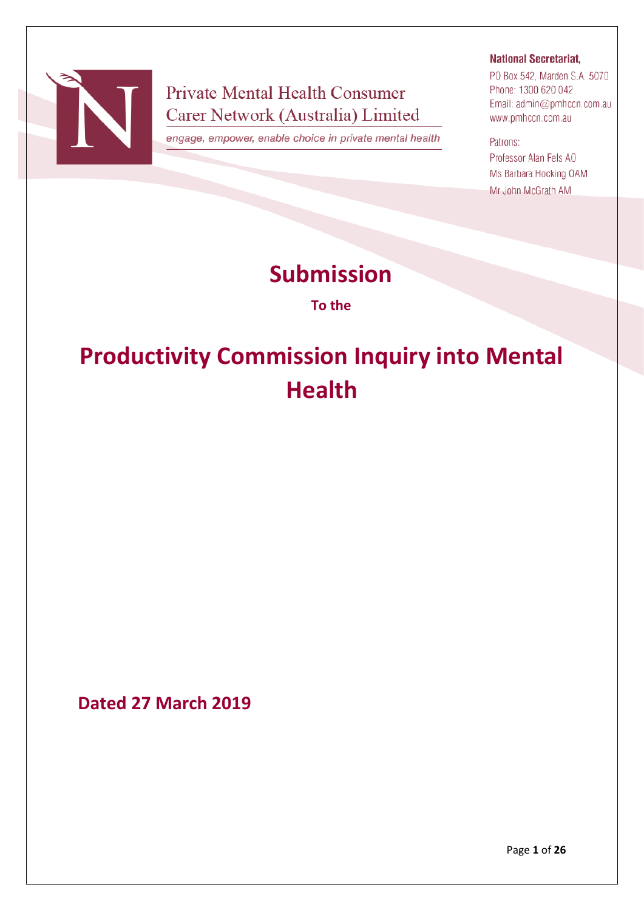

# **Private Mental Health Consumer** Carer Network (Australia) Limited

engage, empower, enable choice in private mental health

# **National Secretariat,**

PO Box 542, Marden S.A. 5070 Phone: 1300 620 042 Email: admin@pmhccn.com.au www.pmhccn.com.au

#### Patrons:

Professor Alan Fels AO Ms Barbara Hocking OAM Mr John McGrath AM

# **Submission**

**To the**

# **Productivity Commission Inquiry into Mental Health**

**Dated 27 March 2019**

Page **1** of **26**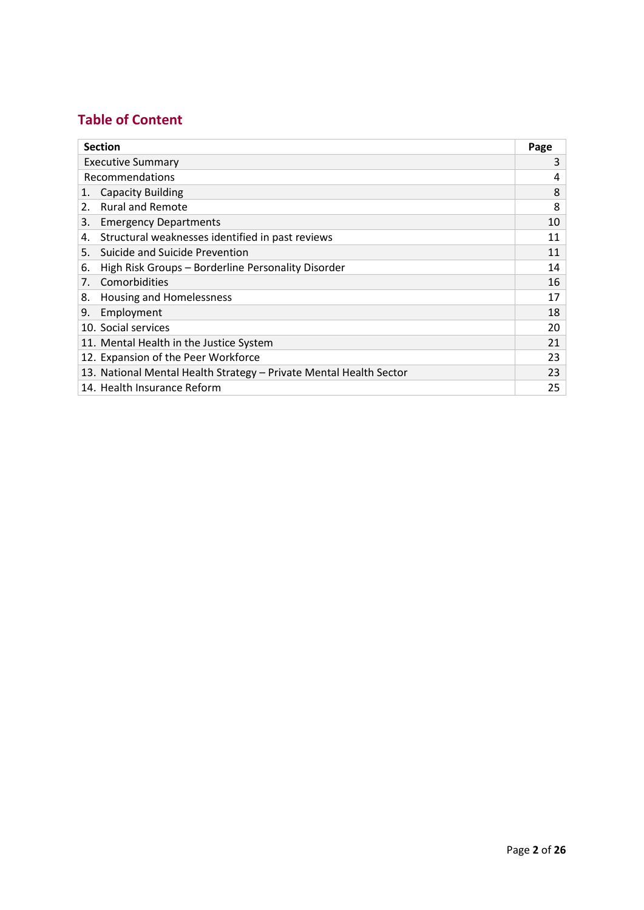# **Table of Content**

| <b>Section</b>                                                     |                                                    |    |
|--------------------------------------------------------------------|----------------------------------------------------|----|
| <b>Executive Summary</b>                                           |                                                    | 3  |
| Recommendations                                                    |                                                    | 4  |
| 1.                                                                 | <b>Capacity Building</b>                           | 8  |
| 2.                                                                 | <b>Rural and Remote</b>                            | 8  |
| 3.                                                                 | <b>Emergency Departments</b>                       | 10 |
| 4.                                                                 | Structural weaknesses identified in past reviews   | 11 |
| 5.                                                                 | Suicide and Suicide Prevention                     | 11 |
| 6.                                                                 | High Risk Groups - Borderline Personality Disorder | 14 |
| Comorbidities<br>7.                                                |                                                    | 16 |
| 8.                                                                 | <b>Housing and Homelessness</b>                    | 17 |
| 9.<br>Employment                                                   |                                                    | 18 |
| 10. Social services                                                |                                                    | 20 |
|                                                                    | 11. Mental Health in the Justice System            | 21 |
| 12. Expansion of the Peer Workforce                                |                                                    | 23 |
| 13. National Mental Health Strategy - Private Mental Health Sector |                                                    | 23 |
|                                                                    | 14. Health Insurance Reform                        | 25 |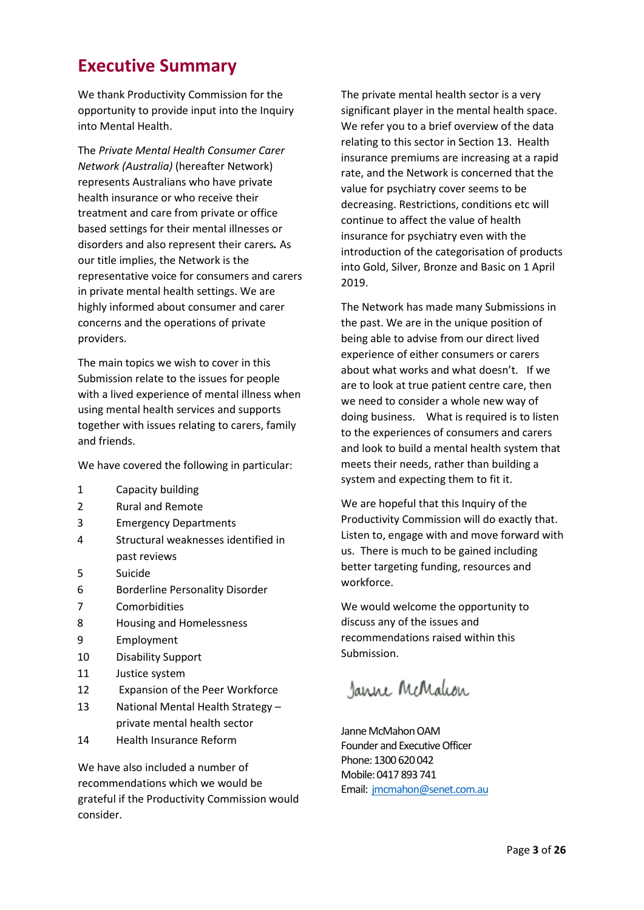# **Executive Summary**

We thank Productivity Commission for the opportunity to provide input into the Inquiry into Mental Health.

The *Private Mental Health Consumer Carer Network (Australia)* (hereafter Network) represents Australians who have private health insurance or who receive their treatment and care from private or office based settings for their mental illnesses or disorders and also represent their carers*.* As our title implies, the Network is the representative voice for consumers and carers in private mental health settings. We are highly informed about consumer and carer concerns and the operations of private providers.

The main topics we wish to cover in this Submission relate to the issues for people with a lived experience of mental illness when using mental health services and supports together with issues relating to carers, family and friends.

We have covered the following in particular:

- 1 Capacity building
- 2 Rural and Remote
- 3 Emergency Departments
- 4 Structural weaknesses identified in past reviews
- 5 Suicide
- 6 Borderline Personality Disorder
- 7 Comorbidities
- 8 Housing and Homelessness
- 9 Employment
- 10 Disability Support
- 11 Justice system
- 12 Expansion of the Peer Workforce
- 13 National Mental Health Strategy private mental health sector
- 14 Health Insurance Reform

We have also included a number of recommendations which we would be grateful if the Productivity Commission would consider.

The private mental health sector is a very significant player in the mental health space. We refer you to a brief overview of the data relating to this sector in Section 13. Health insurance premiums are increasing at a rapid rate, and the Network is concerned that the value for psychiatry cover seems to be decreasing. Restrictions, conditions etc will continue to affect the value of health insurance for psychiatry even with the introduction of the categorisation of products into Gold, Silver, Bronze and Basic on 1 April 2019.

The Network has made many Submissions in the past. We are in the unique position of being able to advise from our direct lived experience of either consumers or carers about what works and what doesn't. If we are to look at true patient centre care, then we need to consider a whole new way of doing business. What is required is to listen to the experiences of consumers and carers and look to build a mental health system that meets their needs, rather than building a system and expecting them to fit it.

We are hopeful that this Inquiry of the Productivity Commission will do exactly that. Listen to, engage with and move forward with us. There is much to be gained including better targeting funding, resources and workforce.

We would welcome the opportunity to discuss any of the issues and recommendations raised within this Submission.

Janne McMalcon

Janne McMahon OAM Founder and Executive Officer Phone: 1300 620 042 Mobile: 0417 893 741 Email: [jmcmahon@senet.com.au](mailto:jmcmahon@senet.com.au)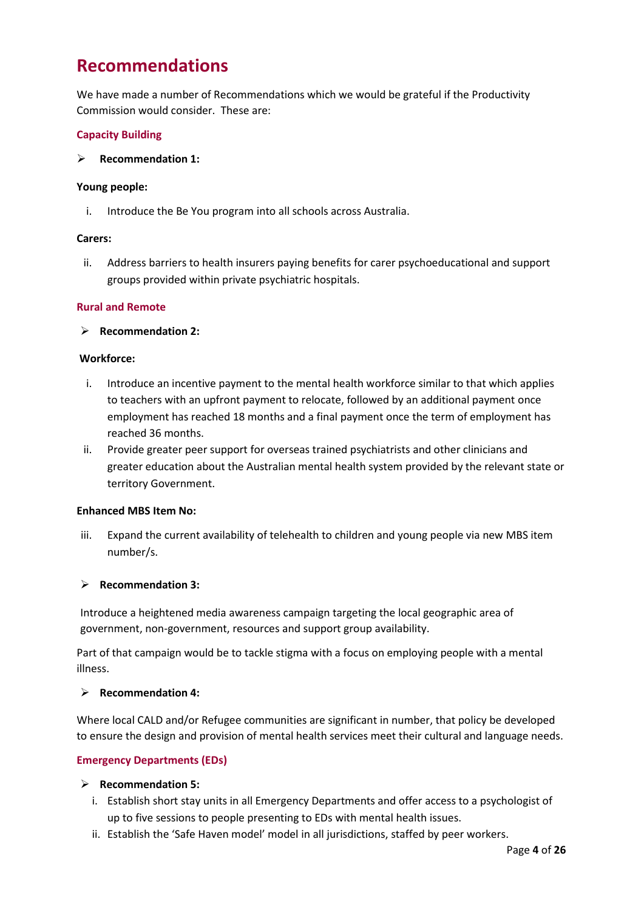# **Recommendations**

We have made a number of Recommendations which we would be grateful if the Productivity Commission would consider. These are:

# **Capacity Building**

➢ **Recommendation 1:**

#### **Young people:**

i. Introduce the Be You program into all schools across Australia.

#### **Carers:**

ii. Address barriers to health insurers paying benefits for carer psychoeducational and support groups provided within private psychiatric hospitals.

# **Rural and Remote**

➢ **Recommendation 2:**

#### **Workforce:**

- i. Introduce an incentive payment to the mental health workforce similar to that which applies to teachers with an upfront payment to relocate, followed by an additional payment once employment has reached 18 months and a final payment once the term of employment has reached 36 months.
- ii. Provide greater peer support for overseas trained psychiatrists and other clinicians and greater education about the Australian mental health system provided by the relevant state or territory Government.

#### **Enhanced MBS Item No:**

iii. Expand the current availability of telehealth to children and young people via new MBS item number/s.

# ➢ **Recommendation 3:**

Introduce a heightened media awareness campaign targeting the local geographic area of government, non-government, resources and support group availability.

Part of that campaign would be to tackle stigma with a focus on employing people with a mental illness.

# ➢ **Recommendation 4:**

Where local CALD and/or Refugee communities are significant in number, that policy be developed to ensure the design and provision of mental health services meet their cultural and language needs.

# **Emergency Departments (EDs)**

- ➢ **Recommendation 5:**
	- i. Establish short stay units in all Emergency Departments and offer access to a psychologist of up to five sessions to people presenting to EDs with mental health issues.
	- ii. Establish the 'Safe Haven model' model in all jurisdictions, staffed by peer workers.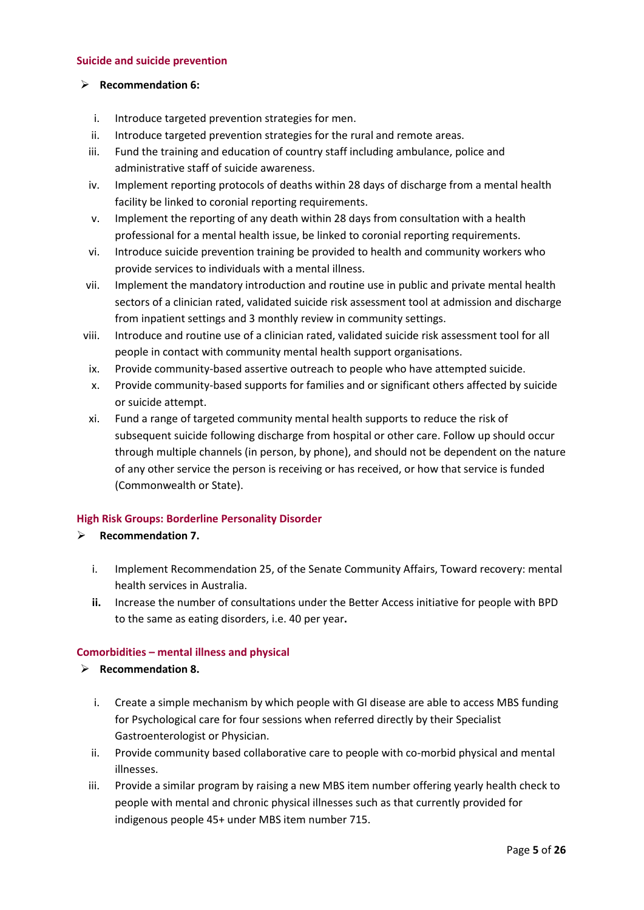#### **Suicide and suicide prevention**

# ➢ **Recommendation 6:**

- i. Introduce targeted prevention strategies for men.
- ii. Introduce targeted prevention strategies for the rural and remote areas.
- iii. Fund the training and education of country staff including ambulance, police and administrative staff of suicide awareness.
- iv. Implement reporting protocols of deaths within 28 days of discharge from a mental health facility be linked to coronial reporting requirements.
- v. Implement the reporting of any death within 28 days from consultation with a health professional for a mental health issue, be linked to coronial reporting requirements.
- vi. Introduce suicide prevention training be provided to health and community workers who provide services to individuals with a mental illness.
- vii. Implement the mandatory introduction and routine use in public and private mental health sectors of a clinician rated, validated suicide risk assessment tool at admission and discharge from inpatient settings and 3 monthly review in community settings.
- viii. Introduce and routine use of a clinician rated, validated suicide risk assessment tool for all people in contact with community mental health support organisations.
- ix. Provide community-based assertive outreach to people who have attempted suicide.
- x. Provide community-based supports for families and or significant others affected by suicide or suicide attempt.
- xi. Fund a range of targeted community mental health supports to reduce the risk of subsequent suicide following discharge from hospital or other care. Follow up should occur through multiple channels (in person, by phone), and should not be dependent on the nature of any other service the person is receiving or has received, or how that service is funded (Commonwealth or State).

# **High Risk Groups: Borderline Personality Disorder**

# ➢ **Recommendation 7.**

- i. Implement Recommendation 25, of the Senate Community Affairs, Toward recovery: mental health services in Australia.
- **ii.** Increase the number of consultations under the Better Access initiative for people with BPD to the same as eating disorders, i.e. 40 per year**.**

# **Comorbidities – mental illness and physical**

- ➢ **Recommendation 8.**
	- i. Create a simple mechanism by which people with GI disease are able to access MBS funding for Psychological care for four sessions when referred directly by their Specialist Gastroenterologist or Physician.
	- ii. Provide community based collaborative care to people with co-morbid physical and mental illnesses.
	- iii. Provide a similar program by raising a new MBS item number offering yearly health check to people with mental and chronic physical illnesses such as that currently provided for indigenous people 45+ under MBS item number 715.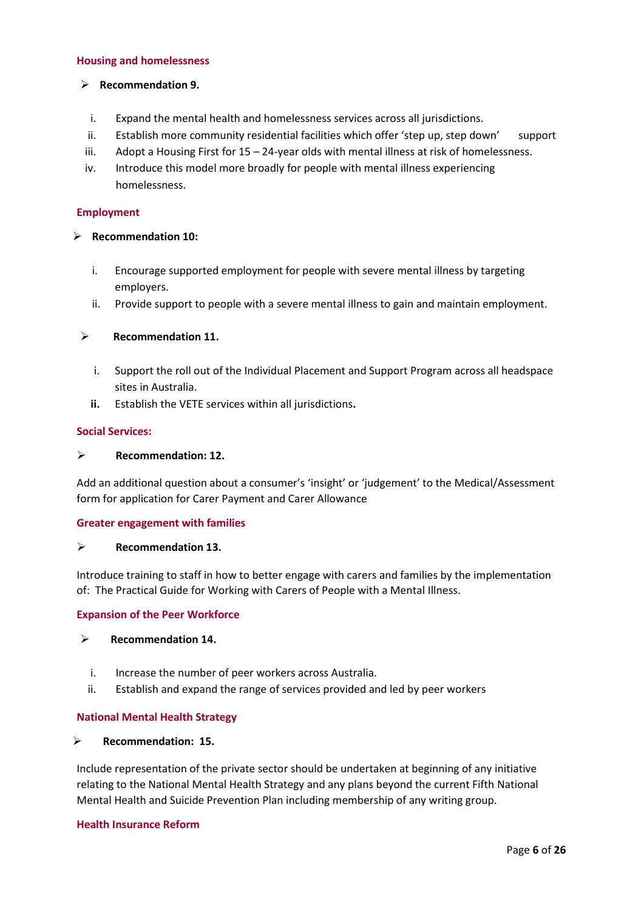#### **Housing and homelessness**

#### ➢ **Recommendation 9.**

- i. Expand the mental health and homelessness services across all jurisdictions.
- ii. Establish more community residential facilities which offer 'step up, step down' support
- iii. Adopt a Housing First for 15 24-year olds with mental illness at risk of homelessness.
- iv. Introduce this model more broadly for people with mental illness experiencing homelessness.

#### **Employment**

#### ➢ **Recommendation 10:**

- i. Encourage supported employment for people with severe mental illness by targeting employers.
- ii. Provide support to people with a severe mental illness to gain and maintain employment.

# ➢ **Recommendation 11.**

- i. Support the roll out of the Individual Placement and Support Program across all headspace sites in Australia.
- **ii.** Establish the VETE services within all jurisdictions**.**

#### **Social Services:**

#### ➢ **Recommendation: 12.**

Add an additional question about a consumer's 'insight' or 'judgement' to the Medical/Assessment form for application for Carer Payment and Carer Allowance

# **Greater engagement with families**

#### ➢ **Recommendation 13.**

Introduce training to staff in how to better engage with carers and families by the implementation of: The Practical Guide for Working with Carers of People with a Mental Illness.

#### **Expansion of the Peer Workforce**

#### ➢ **Recommendation 14.**

- i. Increase the number of peer workers across Australia.
- ii. Establish and expand the range of services provided and led by peer workers

# **National Mental Health Strategy**

#### ➢ **Recommendation: 15.**

Include representation of the private sector should be undertaken at beginning of any initiative relating to the National Mental Health Strategy and any plans beyond the current Fifth National Mental Health and Suicide Prevention Plan including membership of any writing group.

#### **Health Insurance Reform**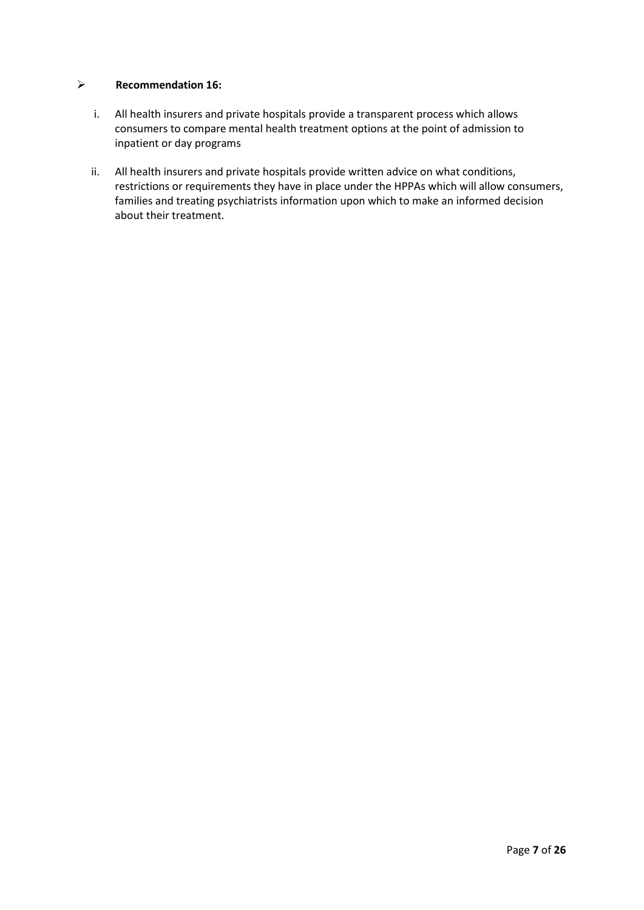# ➢ **Recommendation 16:**

- i. All health insurers and private hospitals provide a transparent process which allows consumers to compare mental health treatment options at the point of admission to inpatient or day programs
- ii. All health insurers and private hospitals provide written advice on what conditions, restrictions or requirements they have in place under the HPPAs which will allow consumers, families and treating psychiatrists information upon which to make an informed decision about their treatment.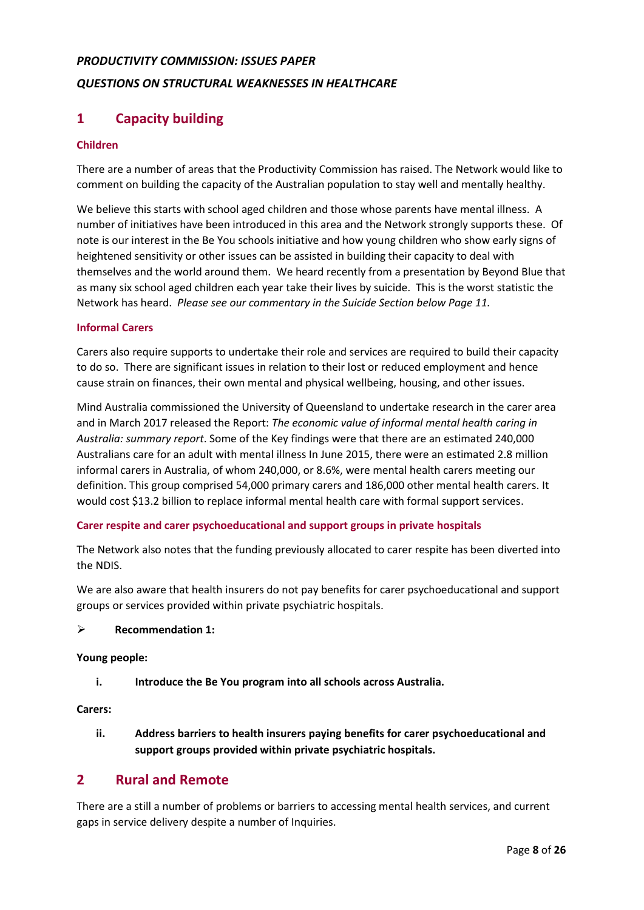# *PRODUCTIVITY COMMISSION: ISSUES PAPER QUESTIONS ON STRUCTURAL WEAKNESSES IN HEALTHCARE*

# **1 Capacity building**

# **Children**

There are a number of areas that the Productivity Commission has raised. The Network would like to comment on building the capacity of the Australian population to stay well and mentally healthy.

We believe this starts with school aged children and those whose parents have mental illness. A number of initiatives have been introduced in this area and the Network strongly supports these. Of note is our interest in the Be You schools initiative and how young children who show early signs of heightened sensitivity or other issues can be assisted in building their capacity to deal with themselves and the world around them. We heard recently from a presentation by Beyond Blue that as many six school aged children each year take their lives by suicide. This is the worst statistic the Network has heard. *Please see our commentary in the Suicide Section below Page 11.*

# **Informal Carers**

Carers also require supports to undertake their role and services are required to build their capacity to do so. There are significant issues in relation to their lost or reduced employment and hence cause strain on finances, their own mental and physical wellbeing, housing, and other issues.

Mind Australia commissioned the University of Queensland to undertake research in the carer area and in March 2017 released the Report: *The economic value of informal mental health caring in Australia: summary report*. Some of the Key findings were that there are an estimated 240,000 Australians care for an adult with mental illness In June 2015, there were an estimated 2.8 million informal carers in Australia, of whom 240,000, or 8.6%, were mental health carers meeting our definition. This group comprised 54,000 primary carers and 186,000 other mental health carers. It would cost \$13.2 billion to replace informal mental health care with formal support services.

# **Carer respite and carer psychoeducational and support groups in private hospitals**

The Network also notes that the funding previously allocated to carer respite has been diverted into the NDIS.

We are also aware that health insurers do not pay benefits for carer psychoeducational and support groups or services provided within private psychiatric hospitals.

# ➢ **Recommendation 1:**

# **Young people:**

**i. Introduce the Be You program into all schools across Australia.**

# **Carers:**

**ii. Address barriers to health insurers paying benefits for carer psychoeducational and support groups provided within private psychiatric hospitals.**

# **2 Rural and Remote**

There are a still a number of problems or barriers to accessing mental health services, and current gaps in service delivery despite a number of Inquiries.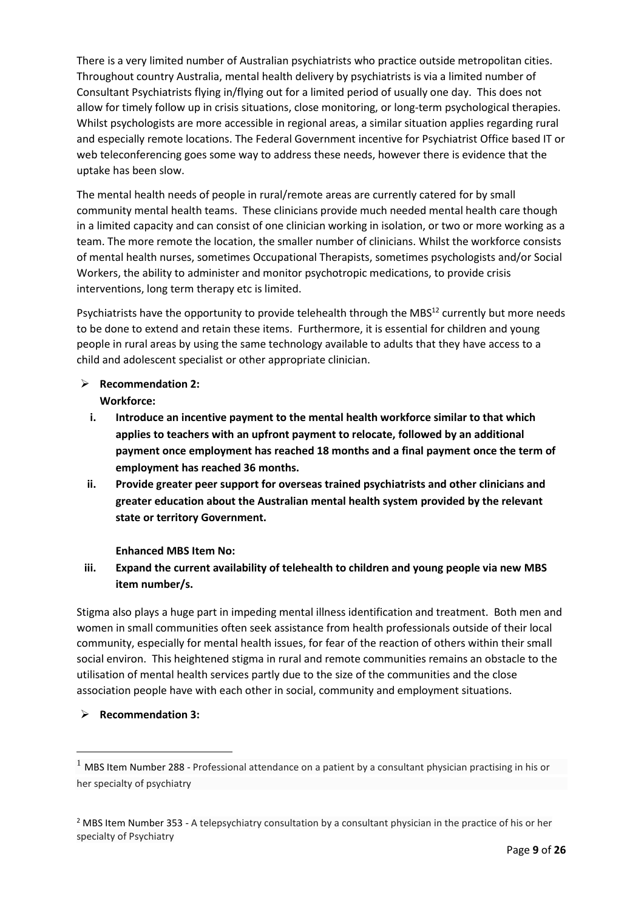There is a very limited number of Australian psychiatrists who practice outside metropolitan cities. Throughout country Australia, mental health delivery by psychiatrists is via a limited number of Consultant Psychiatrists flying in/flying out for a limited period of usually one day. This does not allow for timely follow up in crisis situations, close monitoring, or long-term psychological therapies. Whilst psychologists are more accessible in regional areas, a similar situation applies regarding rural and especially remote locations. The Federal Government incentive for Psychiatrist Office based IT or web teleconferencing goes some way to address these needs, however there is evidence that the uptake has been slow.

The mental health needs of people in rural/remote areas are currently catered for by small community mental health teams. These clinicians provide much needed mental health care though in a limited capacity and can consist of one clinician working in isolation, or two or more working as a team. The more remote the location, the smaller number of clinicians. Whilst the workforce consists of mental health nurses, sometimes Occupational Therapists, sometimes psychologists and/or Social Workers, the ability to administer and monitor psychotropic medications, to provide crisis interventions, long term therapy etc is limited.

Psychiatrists have the opportunity to provide telehealth through the MBS<sup>12</sup> currently but more needs to be done to extend and retain these items. Furthermore, it is essential for children and young people in rural areas by using the same technology available to adults that they have access to a child and adolescent specialist or other appropriate clinician.

- ➢ **Recommendation 2: Workforce:**
	- **i. Introduce an incentive payment to the mental health workforce similar to that which applies to teachers with an upfront payment to relocate, followed by an additional payment once employment has reached 18 months and a final payment once the term of employment has reached 36 months.**
- **ii. Provide greater peer support for overseas trained psychiatrists and other clinicians and greater education about the Australian mental health system provided by the relevant state or territory Government.**

# **Enhanced MBS Item No:**

**iii. Expand the current availability of telehealth to children and young people via new MBS item number/s.**

Stigma also plays a huge part in impeding mental illness identification and treatment. Both men and women in small communities often seek assistance from health professionals outside of their local community, especially for mental health issues, for fear of the reaction of others within their small social environ. This heightened stigma in rural and remote communities remains an obstacle to the utilisation of mental health services partly due to the size of the communities and the close association people have with each other in social, community and employment situations.

➢ **Recommendation 3:**

 $\overline{\phantom{a}}$ 

<sup>1</sup> MBS Item Number 288 - Professional attendance on a patient by a consultant physician practising in his or her specialty of psychiatry

<sup>&</sup>lt;sup>2</sup> MBS Item Number 353 - A telepsychiatry consultation by a consultant physician in the practice of his or her specialty of Psychiatry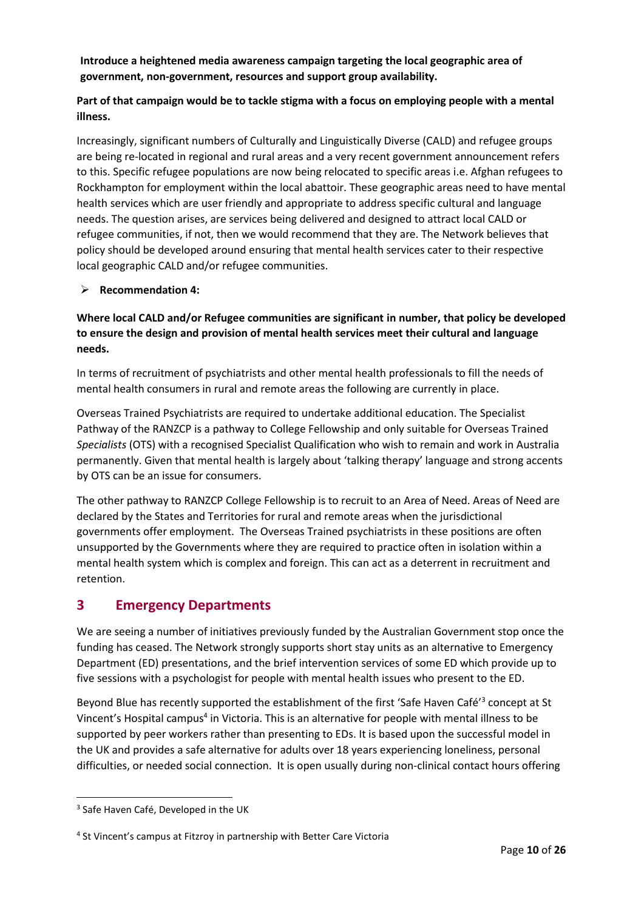# **Introduce a heightened media awareness campaign targeting the local geographic area of government, non-government, resources and support group availability.**

# **Part of that campaign would be to tackle stigma with a focus on employing people with a mental illness.**

Increasingly, significant numbers of Culturally and Linguistically Diverse (CALD) and refugee groups are being re-located in regional and rural areas and a very recent government announcement refers to this. Specific refugee populations are now being relocated to specific areas i.e. Afghan refugees to Rockhampton for employment within the local abattoir. These geographic areas need to have mental health services which are user friendly and appropriate to address specific cultural and language needs. The question arises, are services being delivered and designed to attract local CALD or refugee communities, if not, then we would recommend that they are. The Network believes that policy should be developed around ensuring that mental health services cater to their respective local geographic CALD and/or refugee communities.

# ➢ **Recommendation 4:**

# **Where local CALD and/or Refugee communities are significant in number, that policy be developed to ensure the design and provision of mental health services meet their cultural and language needs.**

In terms of recruitment of psychiatrists and other mental health professionals to fill the needs of mental health consumers in rural and remote areas the following are currently in place.

Overseas Trained Psychiatrists are required to undertake additional education. The Specialist Pathway of the RANZCP is a pathway to College Fellowship and only suitable for Overseas Trained *Specialists* (OTS) with a recognised Specialist Qualification who wish to remain and work in Australia permanently. Given that mental health is largely about 'talking therapy' language and strong accents by OTS can be an issue for consumers.

The other pathway to RANZCP College Fellowship is to recruit to an Area of Need. Areas of Need are declared by the States and Territories for rural and remote areas when the jurisdictional governments offer employment. The Overseas Trained psychiatrists in these positions are often unsupported by the Governments where they are required to practice often in isolation within a mental health system which is complex and foreign. This can act as a deterrent in recruitment and retention.

# **3 Emergency Departments**

We are seeing a number of initiatives previously funded by the Australian Government stop once the funding has ceased. The Network strongly supports short stay units as an alternative to Emergency Department (ED) presentations, and the brief intervention services of some ED which provide up to five sessions with a psychologist for people with mental health issues who present to the ED.

Beyond Blue has recently supported the establishment of the first 'Safe Haven Café<sup>'3</sup> concept at St Vincent's Hospital campus<sup>4</sup> in Victoria. This is an alternative for people with mental illness to be supported by peer workers rather than presenting to EDs. It is based upon the successful model in the UK and provides a safe alternative for adults over 18 years experiencing loneliness, personal difficulties, or needed social connection. It is open usually during non-clinical contact hours offering

 $\overline{\phantom{a}}$ 

<sup>&</sup>lt;sup>3</sup> Safe Haven Café, Developed in the UK

<sup>&</sup>lt;sup>4</sup> St Vincent's campus at Fitzroy in partnership with Better Care Victoria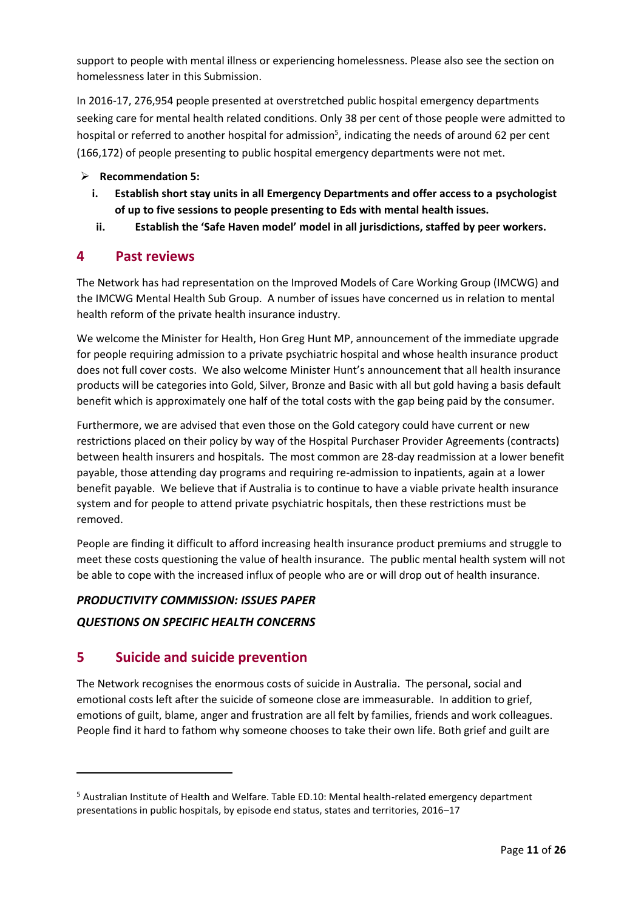support to people with mental illness or experiencing homelessness. Please also see the section on homelessness later in this Submission.

In 2016-17, 276,954 people presented at overstretched public hospital emergency departments seeking care for mental health related conditions. Only 38 per cent of those people were admitted to hospital or referred to another hospital for admission<sup>5</sup>, indicating the needs of around 62 per cent (166,172) of people presenting to public hospital emergency departments were not met.

# ➢ **Recommendation 5:**

- **i. Establish short stay units in all Emergency Departments and offer access to a psychologist of up to five sessions to people presenting to Eds with mental health issues.**
- **ii. Establish the 'Safe Haven model' model in all jurisdictions, staffed by peer workers.**

# **4 Past reviews**

The Network has had representation on the Improved Models of Care Working Group (IMCWG) and the IMCWG Mental Health Sub Group. A number of issues have concerned us in relation to mental health reform of the private health insurance industry.

We welcome the Minister for Health, Hon Greg Hunt MP, announcement of the immediate upgrade for people requiring admission to a private psychiatric hospital and whose health insurance product does not full cover costs. We also welcome Minister Hunt's announcement that all health insurance products will be categories into Gold, Silver, Bronze and Basic with all but gold having a basis default benefit which is approximately one half of the total costs with the gap being paid by the consumer.

Furthermore, we are advised that even those on the Gold category could have current or new restrictions placed on their policy by way of the Hospital Purchaser Provider Agreements (contracts) between health insurers and hospitals. The most common are 28-day readmission at a lower benefit payable, those attending day programs and requiring re-admission to inpatients, again at a lower benefit payable. We believe that if Australia is to continue to have a viable private health insurance system and for people to attend private psychiatric hospitals, then these restrictions must be removed.

People are finding it difficult to afford increasing health insurance product premiums and struggle to meet these costs questioning the value of health insurance. The public mental health system will not be able to cope with the increased influx of people who are or will drop out of health insurance.

# *PRODUCTIVITY COMMISSION: ISSUES PAPER*

# *QUESTIONS ON SPECIFIC HEALTH CONCERNS*

# **5 Suicide and suicide prevention**

l

The Network recognises the enormous costs of suicide in Australia. The personal, social and emotional costs left after the suicide of someone close are immeasurable. In addition to grief, emotions of guilt, blame, anger and frustration are all felt by families, friends and work colleagues. People find it hard to fathom why someone chooses to take their own life. Both grief and guilt are

<sup>5</sup> Australian Institute of Health and Welfare. Table ED.10: Mental health-related emergency department presentations in public hospitals, by episode end status, states and territories, 2016–17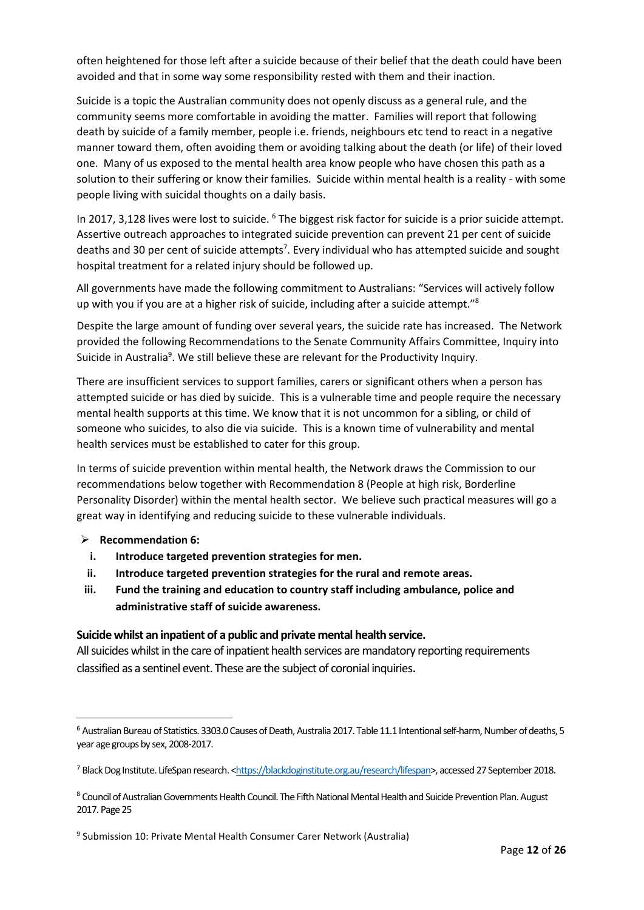often heightened for those left after a suicide because of their belief that the death could have been avoided and that in some way some responsibility rested with them and their inaction.

Suicide is a topic the Australian community does not openly discuss as a general rule, and the community seems more comfortable in avoiding the matter. Families will report that following death by suicide of a family member, people i.e. friends, neighbours etc tend to react in a negative manner toward them, often avoiding them or avoiding talking about the death (or life) of their loved one. Many of us exposed to the mental health area know people who have chosen this path as a solution to their suffering or know their families. Suicide within mental health is a reality - with some people living with suicidal thoughts on a daily basis.

In 2017, 3,128 lives were lost to suicide. <sup>6</sup> The biggest risk factor for suicide is a prior suicide attempt. Assertive outreach approaches to integrated suicide prevention can prevent 21 per cent of suicide deaths and 30 per cent of suicide attempts<sup>7</sup>. Every individual who has attempted suicide and sought hospital treatment for a related injury should be followed up.

All governments have made the following commitment to Australians: "Services will actively follow up with you if you are at a higher risk of suicide, including after a suicide attempt." $8$ 

Despite the large amount of funding over several years, the suicide rate has increased. The Network provided the following Recommendations to the Senate Community Affairs Committee, Inquiry into Suicide in Australia<sup>9</sup>. We still believe these are relevant for the Productivity Inquiry.

There are insufficient services to support families, carers or significant others when a person has attempted suicide or has died by suicide. This is a vulnerable time and people require the necessary mental health supports at this time. We know that it is not uncommon for a sibling, or child of someone who suicides, to also die via suicide. This is a known time of vulnerability and mental health services must be established to cater for this group.

In terms of suicide prevention within mental health, the Network draws the Commission to our recommendations below together with Recommendation 8 (People at high risk, Borderline Personality Disorder) within the mental health sector. We believe such practical measures will go a great way in identifying and reducing suicide to these vulnerable individuals.

# ➢ **Recommendation 6:**

 $\overline{a}$ 

- **i. Introduce targeted prevention strategies for men.**
- **ii. Introduce targeted prevention strategies for the rural and remote areas.**
- **iii. Fund the training and education to country staff including ambulance, police and administrative staff of suicide awareness.**

# **Suicide whilst an inpatient of a public and private mental health service.**

All suicides whilst in the care of inpatient health services are mandatory reporting requirements classified as a sentinel event. These are the subject of coronial inquiries.

<sup>6</sup> Australian Bureau of Statistics. 3303.0 Causes of Death, Australia 2017. Table 11.1 Intentional self-harm, Number of deaths, 5 year age groups by sex, 2008-2017.

<sup>7</sup> Black Dog Institute. LifeSpan research. [<https://blackdoginstitute.org.au/research/lifespan>](https://blackdoginstitute.org.au/research/lifespan), accessed 27 September 2018.

<sup>8</sup> Council of Australian Governments Health Council. The Fifth National Mental Health and Suicide Prevention Plan. August 2017. Page 25

<sup>&</sup>lt;sup>9</sup> Submission 10: Private Mental Health Consumer Carer Network (Australia)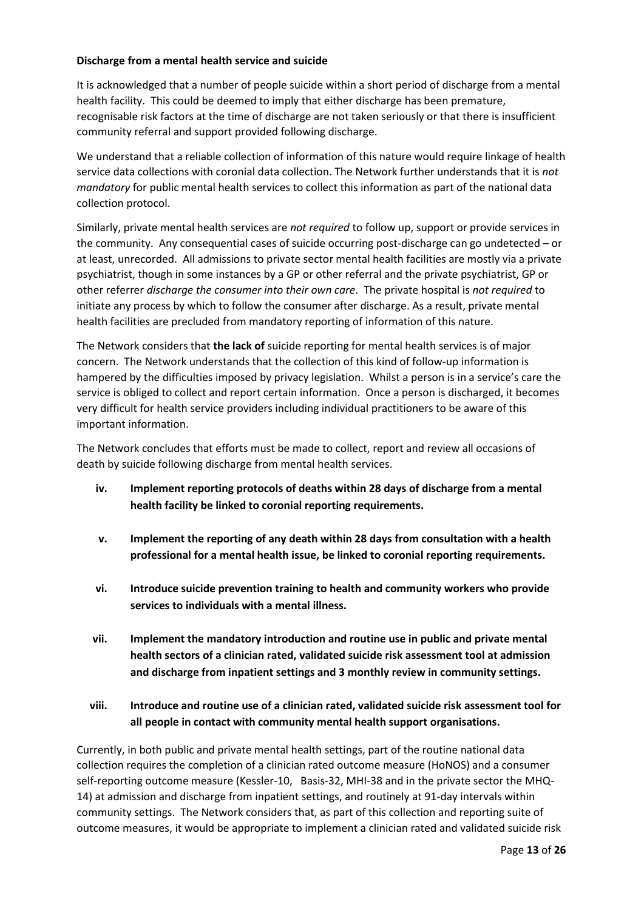# **Discharge from a mental health service and suicide**

It is acknowledged that a number of people suicide within a short period of discharge from a mental health facility. This could be deemed to imply that either discharge has been premature, recognisable risk factors at the time of discharge are not taken seriously or that there is insufficient community referral and support provided following discharge.

We understand that a reliable collection of information of this nature would require linkage of health service data collections with coronial data collection. The Network further understands that it is *not mandatory* for public mental health services to collect this information as part of the national data collection protocol.

Similarly, private mental health services are *not required* to follow up, support or provide services in the community. Any consequential cases of suicide occurring post-discharge can go undetected – or at least, unrecorded. All admissions to private sector mental health facilities are mostly via a private psychiatrist, though in some instances by a GP or other referral and the private psychiatrist, GP or other referrer *discharge the consumer into their own care*. The private hospital is *not required* to initiate any process by which to follow the consumer after discharge. As a result, private mental health facilities are precluded from mandatory reporting of information of this nature.

The Network considers that **the lack of** suicide reporting for mental health services is of major concern. The Network understands that the collection of this kind of follow-up information is hampered by the difficulties imposed by privacy legislation. Whilst a person is in a service's care the service is obliged to collect and report certain information. Once a person is discharged, it becomes very difficult for health service providers including individual practitioners to be aware of this important information.

The Network concludes that efforts must be made to collect, report and review all occasions of death by suicide following discharge from mental health services.

- **iv. Implement reporting protocols of deaths within 28 days of discharge from a mental health facility be linked to coronial reporting requirements.**
- **v. Implement the reporting of any death within 28 days from consultation with a health professional for a mental health issue, be linked to coronial reporting requirements.**
- **vi. Introduce suicide prevention training to health and community workers who provide services to individuals with a mental illness.**
- **vii. Implement the mandatory introduction and routine use in public and private mental health sectors of a clinician rated, validated suicide risk assessment tool at admission and discharge from inpatient settings and 3 monthly review in community settings.**
- **viii. Introduce and routine use of a clinician rated, validated suicide risk assessment tool for all people in contact with community mental health support organisations.**

Currently, in both public and private mental health settings, part of the routine national data collection requires the completion of a clinician rated outcome measure (HoNOS) and a consumer self-reporting outcome measure (Kessler-10, Basis-32, MHI-38 and in the private sector the MHQ-14) at admission and discharge from inpatient settings, and routinely at 91-day intervals within community settings. The Network considers that, as part of this collection and reporting suite of outcome measures, it would be appropriate to implement a clinician rated and validated suicide risk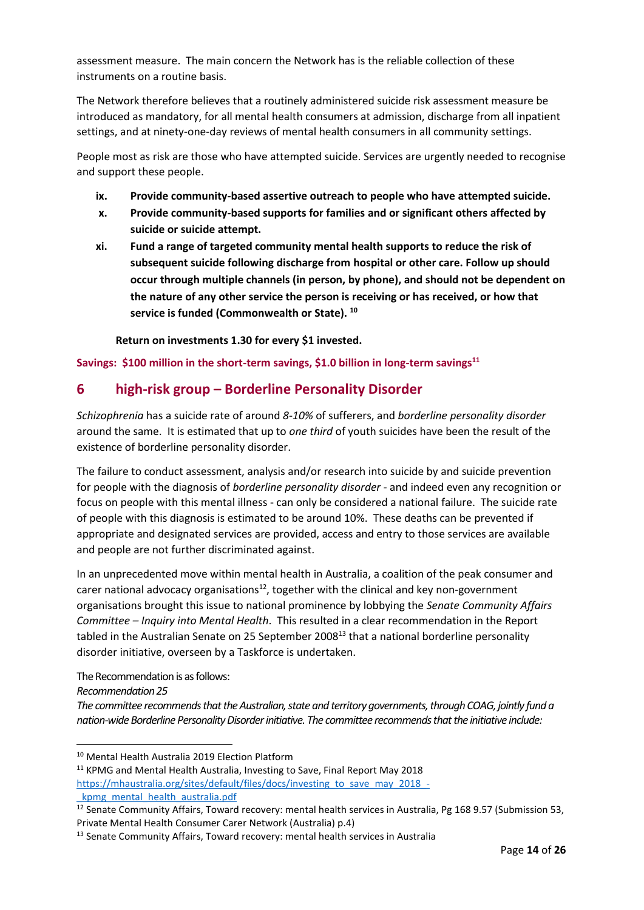assessment measure. The main concern the Network has is the reliable collection of these instruments on a routine basis.

The Network therefore believes that a routinely administered suicide risk assessment measure be introduced as mandatory, for all mental health consumers at admission, discharge from all inpatient settings, and at ninety-one-day reviews of mental health consumers in all community settings.

People most as risk are those who have attempted suicide. Services are urgently needed to recognise and support these people.

- **ix. Provide community-based assertive outreach to people who have attempted suicide.**
- **x. Provide community-based supports for families and or significant others affected by suicide or suicide attempt.**
- **xi. Fund a range of targeted community mental health supports to reduce the risk of subsequent suicide following discharge from hospital or other care. Follow up should occur through multiple channels (in person, by phone), and should not be dependent on the nature of any other service the person is receiving or has received, or how that service is funded (Commonwealth or State). <sup>10</sup>**

**Return on investments 1.30 for every \$1 invested.**

**Savings: \$100 million in the short-term savings, \$1.0 billion in long-term savings<sup>11</sup>**

# **6 high-risk group – Borderline Personality Disorder**

*Schizophrenia* has a suicide rate of around *8-10%* of sufferers, and *borderline personality disorder*  around the same. It is estimated that up to *one third* of youth suicides have been the result of the existence of borderline personality disorder.

The failure to conduct assessment, analysis and/or research into suicide by and suicide prevention for people with the diagnosis of *borderline personality disorder -* and indeed even any recognition or focus on people with this mental illness - can only be considered a national failure. The suicide rate of people with this diagnosis is estimated to be around 10%. These deaths can be prevented if appropriate and designated services are provided, access and entry to those services are available and people are not further discriminated against.

In an unprecedented move within mental health in Australia, a coalition of the peak consumer and carer national advocacy organisations $12$ , together with the clinical and key non-government organisations brought this issue to national prominence by lobbying the *Senate Community Affairs Committee – Inquiry into Mental Health*. This resulted in a clear recommendation in the Report tabled in the Australian Senate on 25 September 2008 $^{13}$  that a national borderline personality disorder initiative, overseen by a Taskforce is undertaken.

The Recommendation is as follows:

*Recommendation 25*

 $\overline{\phantom{a}}$ 

*The committee recommends that the Australian, state and territory governments, through COAG, jointly fund a nation-wide Borderline Personality Disorder initiative. The committee recommends that the initiative include:*

kpmg\_mental\_health\_australia.pdf

<sup>10</sup> Mental Health Australia 2019 Election Platform

<sup>&</sup>lt;sup>11</sup> KPMG and Mental Health Australia, Investing to Save, Final Report May 2018 [https://mhaustralia.org/sites/default/files/docs/investing\\_to\\_save\\_may\\_2018\\_-](https://mhaustralia.org/sites/default/files/docs/investing_to_save_may_2018_-_kpmg_mental_health_australia.pdf)

 $\frac{12}{12}$  Senate Community Affairs, Toward recovery: mental health services in Australia, Pg 168 9.57 (Submission 53, Private Mental Health Consumer Carer Network (Australia) p.4)

<sup>&</sup>lt;sup>13</sup> Senate Community Affairs, Toward recovery: mental health services in Australia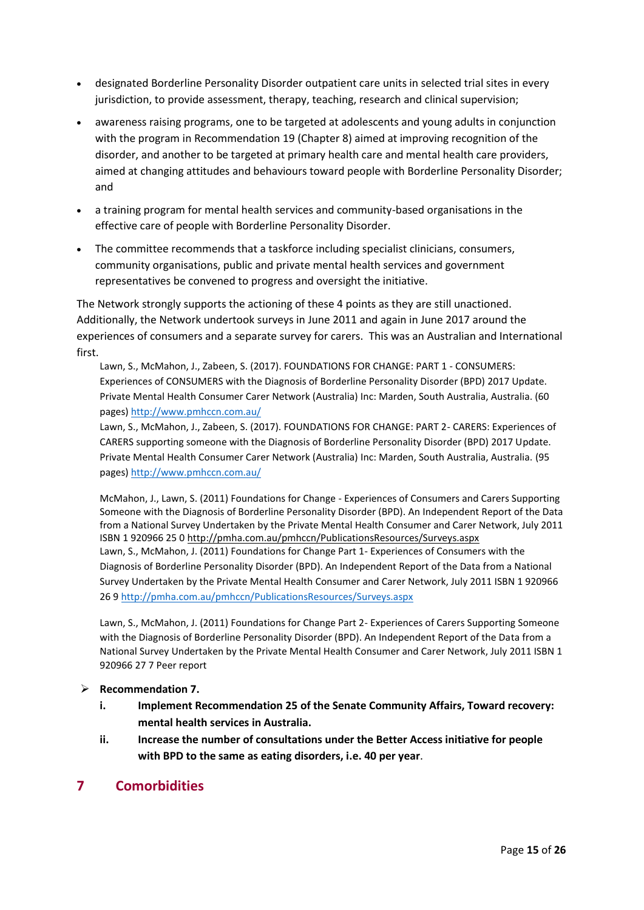- designated Borderline Personality Disorder outpatient care units in selected trial sites in every jurisdiction, to provide assessment, therapy, teaching, research and clinical supervision;
- awareness raising programs, one to be targeted at adolescents and young adults in conjunction with the program in Recommendation 19 (Chapter 8) aimed at improving recognition of the disorder, and another to be targeted at primary health care and mental health care providers, aimed at changing attitudes and behaviours toward people with Borderline Personality Disorder; and
- a training program for mental health services and community-based organisations in the effective care of people with Borderline Personality Disorder.
- The committee recommends that a taskforce including specialist clinicians, consumers, community organisations, public and private mental health services and government representatives be convened to progress and oversight the initiative.

The Network strongly supports the actioning of these 4 points as they are still unactioned. Additionally, the Network undertook surveys in June 2011 and again in June 2017 around the experiences of consumers and a separate survey for carers. This was an Australian and International first.

Lawn, S., McMahon, J., Zabeen, S. (2017). FOUNDATIONS FOR CHANGE: PART 1 - CONSUMERS: Experiences of CONSUMERS with the Diagnosis of Borderline Personality Disorder (BPD) 2017 Update. Private Mental Health Consumer Carer Network (Australia) Inc: Marden, South Australia, Australia. (60 pages)<http://www.pmhccn.com.au/>

Lawn, S., McMahon, J., Zabeen, S. (2017). FOUNDATIONS FOR CHANGE: PART 2- CARERS: Experiences of CARERS supporting someone with the Diagnosis of Borderline Personality Disorder (BPD) 2017 Update. Private Mental Health Consumer Carer Network (Australia) Inc: Marden, South Australia, Australia. (95 pages)<http://www.pmhccn.com.au/>

McMahon, J., Lawn, S. (2011) Foundations for Change - Experiences of Consumers and Carers Supporting Someone with the Diagnosis of Borderline Personality Disorder (BPD). An Independent Report of the Data from a National Survey Undertaken by the Private Mental Health Consumer and Carer Network, July 2011 ISBN 1 920966 25 0<http://pmha.com.au/pmhccn/PublicationsResources/Surveys.aspx> Lawn, S., McMahon, J. (2011) Foundations for Change Part 1- Experiences of Consumers with the Diagnosis of Borderline Personality Disorder (BPD). An Independent Report of the Data from a National Survey Undertaken by the Private Mental Health Consumer and Carer Network, July 2011 ISBN 1 920966 26 9<http://pmha.com.au/pmhccn/PublicationsResources/Surveys.aspx>

Lawn, S., McMahon, J. (2011) Foundations for Change Part 2- Experiences of Carers Supporting Someone with the Diagnosis of Borderline Personality Disorder (BPD). An Independent Report of the Data from a National Survey Undertaken by the Private Mental Health Consumer and Carer Network, July 2011 ISBN 1 920966 27 7 Peer report

# ➢ **Recommendation 7.**

- **i. Implement Recommendation 25 of the Senate Community Affairs, Toward recovery: mental health services in Australia.**
- **ii. Increase the number of consultations under the Better Access initiative for people with BPD to the same as eating disorders, i.e. 40 per year**.

# **7 Comorbidities**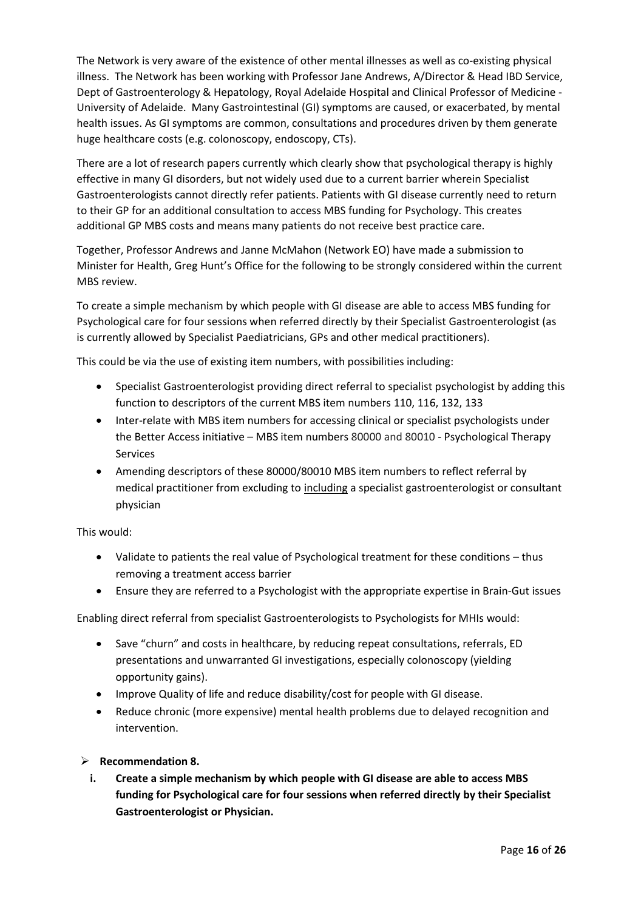The Network is very aware of the existence of other mental illnesses as well as co-existing physical illness. The Network has been working with Professor Jane Andrews, A/Director & Head IBD Service, Dept of Gastroenterology & Hepatology, Royal Adelaide Hospital and Clinical Professor of Medicine - University of Adelaide. Many Gastrointestinal (GI) symptoms are caused, or exacerbated, by mental health issues. As GI symptoms are common, consultations and procedures driven by them generate huge healthcare costs (e.g. colonoscopy, endoscopy, CTs).

There are a lot of research papers currently which clearly show that psychological therapy is highly effective in many GI disorders, but not widely used due to a current barrier wherein Specialist Gastroenterologists cannot directly refer patients. Patients with GI disease currently need to return to their GP for an additional consultation to access MBS funding for Psychology. This creates additional GP MBS costs and means many patients do not receive best practice care.

Together, Professor Andrews and Janne McMahon (Network EO) have made a submission to Minister for Health, Greg Hunt's Office for the following to be strongly considered within the current MBS review.

To create a simple mechanism by which people with GI disease are able to access MBS funding for Psychological care for four sessions when referred directly by their Specialist Gastroenterologist (as is currently allowed by Specialist Paediatricians, GPs and other medical practitioners).

This could be via the use of existing item numbers, with possibilities including:

- Specialist Gastroenterologist providing direct referral to specialist psychologist by adding this function to descriptors of the current MBS item numbers 110, 116, 132, 133
- Inter-relate with MBS item numbers for accessing clinical or specialist psychologists under the Better Access initiative – MBS item numbers 80000 and 80010 - Psychological Therapy Services
- Amending descriptors of these 80000/80010 MBS item numbers to reflect referral by medical practitioner from excluding to including a specialist gastroenterologist or consultant physician

This would:

- Validate to patients the real value of Psychological treatment for these conditions thus removing a treatment access barrier
- Ensure they are referred to a Psychologist with the appropriate expertise in Brain-Gut issues

Enabling direct referral from specialist Gastroenterologists to Psychologists for MHIs would:

- Save "churn" and costs in healthcare, by reducing repeat consultations, referrals, ED presentations and unwarranted GI investigations, especially colonoscopy (yielding opportunity gains).
- Improve Quality of life and reduce disability/cost for people with GI disease.
- Reduce chronic (more expensive) mental health problems due to delayed recognition and intervention.
- ➢ **Recommendation 8.**
	- **i. Create a simple mechanism by which people with GI disease are able to access MBS funding for Psychological care for four sessions when referred directly by their Specialist Gastroenterologist or Physician.**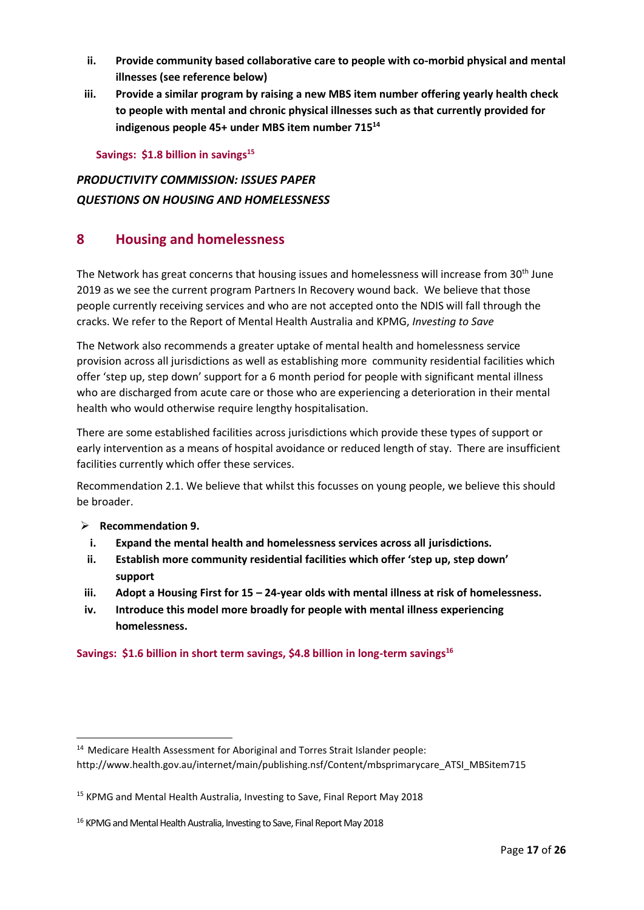- **ii. Provide community based collaborative care to people with co-morbid physical and mental illnesses (see reference below)**
- **iii. Provide a similar program by raising a new MBS item number offering yearly health check to people with mental and chronic physical illnesses such as that currently provided for indigenous people 45+ under MBS item number 715<sup>14</sup>**

**Savings: \$1.8 billion in savings<sup>15</sup>**

# *PRODUCTIVITY COMMISSION: ISSUES PAPER QUESTIONS ON HOUSING AND HOMELESSNESS*

# **8 Housing and homelessness**

The Network has great concerns that housing issues and homelessness will increase from 30<sup>th</sup> June 2019 as we see the current program Partners In Recovery wound back. We believe that those people currently receiving services and who are not accepted onto the NDIS will fall through the cracks. We refer to the Report of Mental Health Australia and KPMG, *Investing to Save*

The Network also recommends a greater uptake of mental health and homelessness service provision across all jurisdictions as well as establishing more community residential facilities which offer 'step up, step down' support for a 6 month period for people with significant mental illness who are discharged from acute care or those who are experiencing a deterioration in their mental health who would otherwise require lengthy hospitalisation.

There are some established facilities across jurisdictions which provide these types of support or early intervention as a means of hospital avoidance or reduced length of stay. There are insufficient facilities currently which offer these services.

Recommendation 2.1. We believe that whilst this focusses on young people, we believe this should be broader.

# ➢ **Recommendation 9.**

 $\overline{\phantom{a}}$ 

- **i. Expand the mental health and homelessness services across all jurisdictions.**
- **ii. Establish more community residential facilities which offer 'step up, step down' support**
- **iii. Adopt a Housing First for 15 – 24-year olds with mental illness at risk of homelessness.**
- **iv. Introduce this model more broadly for people with mental illness experiencing homelessness.**

# **Savings: \$1.6 billion in short term savings, \$4.8 billion in long-term savings<sup>16</sup>**

<sup>14</sup> Medicare Health Assessment for Aboriginal and Torres Strait Islander people: http://www.health.gov.au/internet/main/publishing.nsf/Content/mbsprimarycare\_ATSI\_MBSitem715

<sup>&</sup>lt;sup>15</sup> KPMG and Mental Health Australia, Investing to Save, Final Report May 2018

<sup>&</sup>lt;sup>16</sup> KPMG and Mental Health Australia, Investing to Save, Final Report May 2018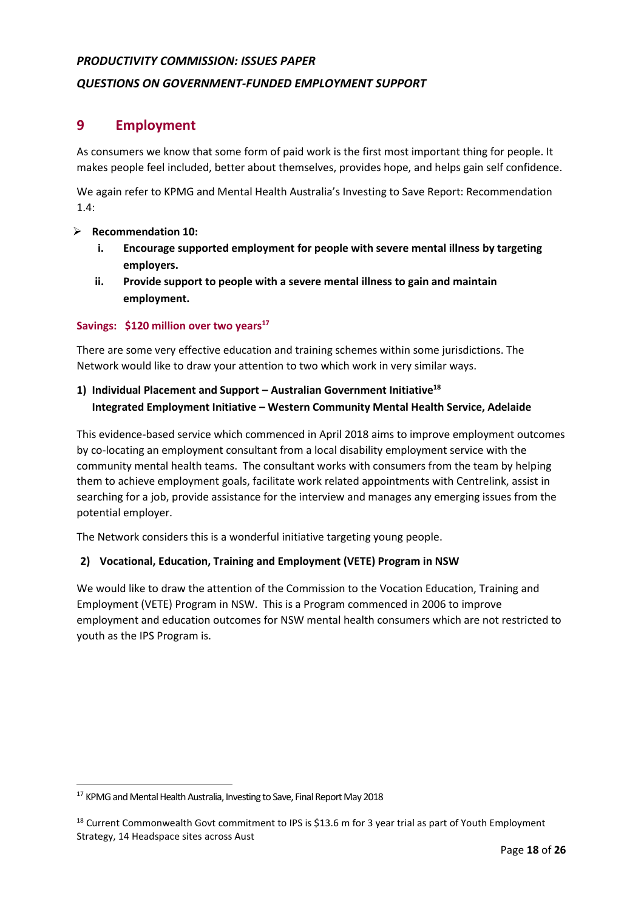# *PRODUCTIVITY COMMISSION: ISSUES PAPER*

# *QUESTIONS ON GOVERNMENT-FUNDED EMPLOYMENT SUPPORT*

# **9 Employment**

As consumers we know that some form of paid work is the first most important thing for people. It makes people feel included, better about themselves, provides hope, and helps gain self confidence.

We again refer to KPMG and Mental Health Australia's Investing to Save Report: Recommendation 1.4:

#### ➢ **Recommendation 10:**

- **i. Encourage supported employment for people with severe mental illness by targeting employers.**
- **ii. Provide support to people with a severe mental illness to gain and maintain employment.**

#### **Savings: \$120 million over two years<sup>17</sup>**

There are some very effective education and training schemes within some jurisdictions. The Network would like to draw your attention to two which work in very similar ways.

# **1) Individual Placement and Support – Australian Government Initiative<sup>18</sup> Integrated Employment Initiative – Western Community Mental Health Service, Adelaide**

This evidence-based service which commenced in April 2018 aims to improve employment outcomes by co-locating an employment consultant from a local disability employment service with the community mental health teams. The consultant works with consumers from the team by helping them to achieve employment goals, facilitate work related appointments with Centrelink, assist in searching for a job, provide assistance for the interview and manages any emerging issues from the potential employer.

The Network considers this is a wonderful initiative targeting young people.

# **2) Vocational, Education, Training and Employment (VETE) Program in NSW**

We would like to draw the attention of the Commission to the Vocation Education, Training and Employment (VETE) Program in NSW. This is a Program commenced in 2006 to improve employment and education outcomes for NSW mental health consumers which are not restricted to youth as the IPS Program is.

 $\overline{a}$ 

<sup>&</sup>lt;sup>17</sup> KPMG and Mental Health Australia, Investing to Save, Final Report May 2018

<sup>&</sup>lt;sup>18</sup> Current Commonwealth Govt commitment to IPS is \$13.6 m for 3 year trial as part of Youth Employment Strategy, 14 Headspace sites across Aust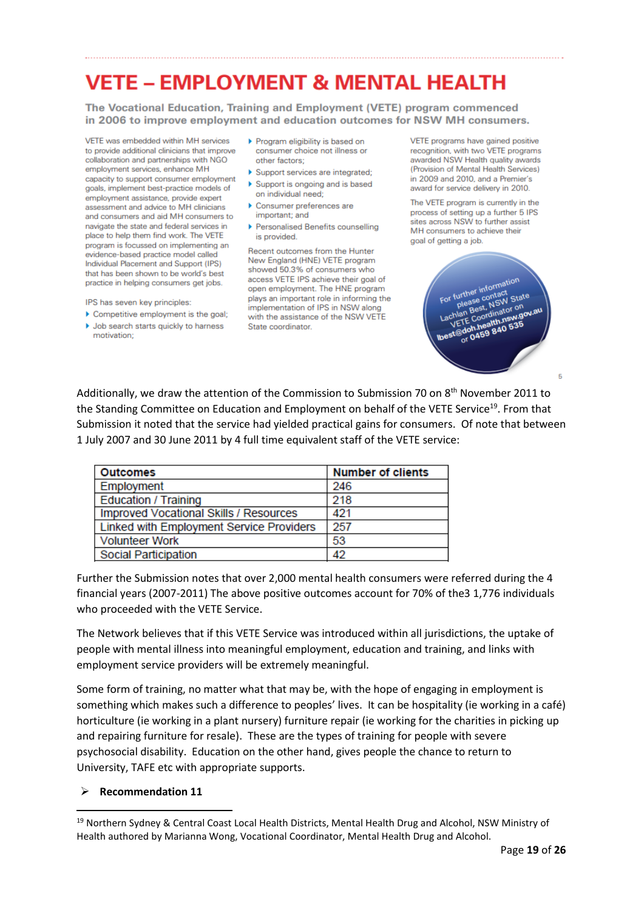# **VETE - EMPLOYMENT & MENTAL HEALTH**

The Vocational Education, Training and Employment (VETE) program commenced in 2006 to improve employment and education outcomes for NSW MH consumers.

VETE was embedded within MH services. to provide additional clinicians that improve collaboration and partnerships with NGO employment services, enhance MH capacity to support consumer employment goals, implement best-practice models of employment assistance, provide expert assessment and advice to MH clinicians and consumers and aid MH consumers to navigate the state and federal services in place to help them find work. The VETE program is focussed on implementing an evidence-based practice model called Individual Placement and Support (IPS) that has been shown to be world's best practice in helping consumers get jobs.

- IPS has seven key principles:
- Competitive employment is the goal; ▶ Job search starts quickly to harness motivation:
- ▶ Program eligibility is based on consumer choice not illness or other factors:
- Support services are integrated; Support is ongoing and is based
- on individual need: Consumer preferences are important: and
- ▶ Personalised Benefits counselling is provided.

Recent outcomes from the Hunter New England (HNE) VETE program showed 50.3% of consumers who access VETE IPS achieve their goal of open employment. The HNE program plays an important role in informing the implementation of IPS in NSW along with the assistance of the NSW VETE State coordinator.

VETE programs have gained positive recognition, with two VETE programs awarded NSW Health quality awards (Provision of Mental Health Services) in 2009 and 2010, and a Premier's award for service delivery in 2010.

The VETE program is currently in the process of setting up a further 5 IPS sites across NSW to further assist MH consumers to achieve their goal of getting a job.



 $\overline{a}$ 

Additionally, we draw the attention of the Commission to Submission 70 on  $8<sup>th</sup>$  November 2011 to the Standing Committee on Education and Employment on behalf of the VETE Service<sup>19</sup>. From that Submission it noted that the service had yielded practical gains for consumers. Of note that between 1 July 2007 and 30 June 2011 by 4 full time equivalent staff of the VETE service:

| <b>Outcomes</b>                          | <b>Number of clients</b> |
|------------------------------------------|--------------------------|
| Employment                               | 246                      |
| <b>Education / Training</b>              | 218                      |
| Improved Vocational Skills / Resources   | 421                      |
| Linked with Employment Service Providers | 257                      |
| <b>Volunteer Work</b>                    | 53                       |
| Social Participation                     | 42                       |

Further the Submission notes that over 2,000 mental health consumers were referred during the 4 financial years (2007-2011) The above positive outcomes account for 70% of the3 1,776 individuals who proceeded with the VETE Service.

The Network believes that if this VETE Service was introduced within all jurisdictions, the uptake of people with mental illness into meaningful employment, education and training, and links with employment service providers will be extremely meaningful.

Some form of training, no matter what that may be, with the hope of engaging in employment is something which makes such a difference to peoples' lives. It can be hospitality (ie working in a café) horticulture (ie working in a plant nursery) furniture repair (ie working for the charities in picking up and repairing furniture for resale). These are the types of training for people with severe psychosocial disability. Education on the other hand, gives people the chance to return to University, TAFE etc with appropriate supports.

#### ➢ **Recommendation 11**

 $\overline{a}$ 

<sup>&</sup>lt;sup>19</sup> Northern Sydney & Central Coast Local Health Districts, Mental Health Drug and Alcohol, NSW Ministry of Health authored by Marianna Wong, Vocational Coordinator, Mental Health Drug and Alcohol.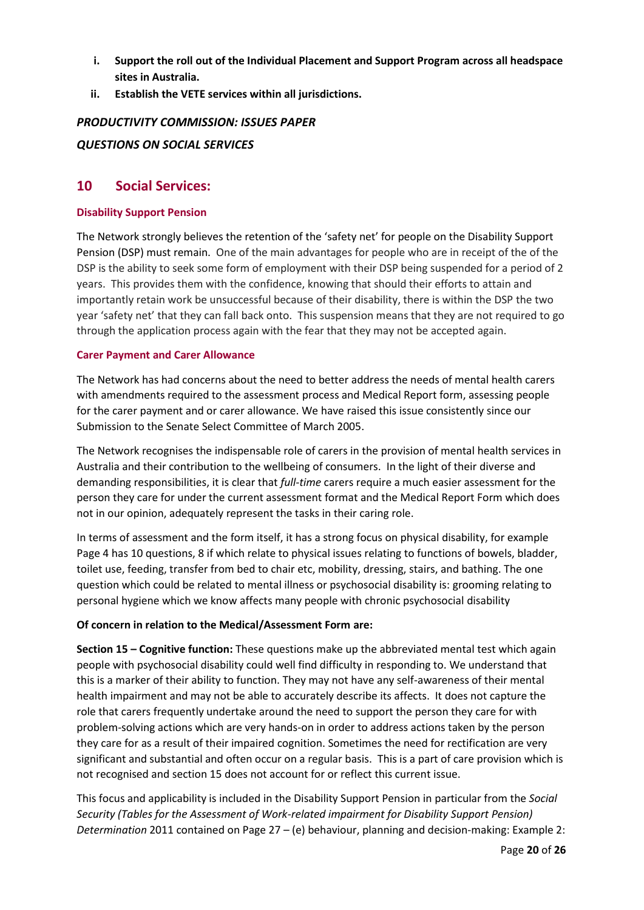- **i. Support the roll out of the Individual Placement and Support Program across all headspace sites in Australia.**
- **ii. Establish the VETE services within all jurisdictions.**

# *PRODUCTIVITY COMMISSION: ISSUES PAPER*

# *QUESTIONS ON SOCIAL SERVICES*

# **10 Social Services:**

#### **Disability Support Pension**

The Network strongly believes the retention of the 'safety net' for people on the Disability Support Pension (DSP) must remain. One of the main advantages for people who are in receipt of the of the DSP is the ability to seek some form of employment with their DSP being suspended for a period of 2 years. This provides them with the confidence, knowing that should their efforts to attain and importantly retain work be unsuccessful because of their disability, there is within the DSP the two year 'safety net' that they can fall back onto. This suspension means that they are not required to go through the application process again with the fear that they may not be accepted again.

#### **Carer Payment and Carer Allowance**

The Network has had concerns about the need to better address the needs of mental health carers with amendments required to the assessment process and Medical Report form, assessing people for the carer payment and or carer allowance. We have raised this issue consistently since our Submission to the Senate Select Committee of March 2005.

The Network recognises the indispensable role of carers in the provision of mental health services in Australia and their contribution to the wellbeing of consumers. In the light of their diverse and demanding responsibilities, it is clear that *full-time* carers require a much easier assessment for the person they care for under the current assessment format and the Medical Report Form which does not in our opinion, adequately represent the tasks in their caring role.

In terms of assessment and the form itself, it has a strong focus on physical disability, for example Page 4 has 10 questions, 8 if which relate to physical issues relating to functions of bowels, bladder, toilet use, feeding, transfer from bed to chair etc, mobility, dressing, stairs, and bathing. The one question which could be related to mental illness or psychosocial disability is: grooming relating to personal hygiene which we know affects many people with chronic psychosocial disability

# **Of concern in relation to the Medical/Assessment Form are:**

**Section 15 – Cognitive function:** These questions make up the abbreviated mental test which again people with psychosocial disability could well find difficulty in responding to. We understand that this is a marker of their ability to function. They may not have any self-awareness of their mental health impairment and may not be able to accurately describe its affects. It does not capture the role that carers frequently undertake around the need to support the person they care for with problem-solving actions which are very hands-on in order to address actions taken by the person they care for as a result of their impaired cognition. Sometimes the need for rectification are very significant and substantial and often occur on a regular basis. This is a part of care provision which is not recognised and section 15 does not account for or reflect this current issue.

This focus and applicability is included in the Disability Support Pension in particular from the *Social Security (Tables for the Assessment of Work-related impairment for Disability Support Pension) Determination* 2011 contained on Page 27 – (e) behaviour, planning and decision-making: Example 2: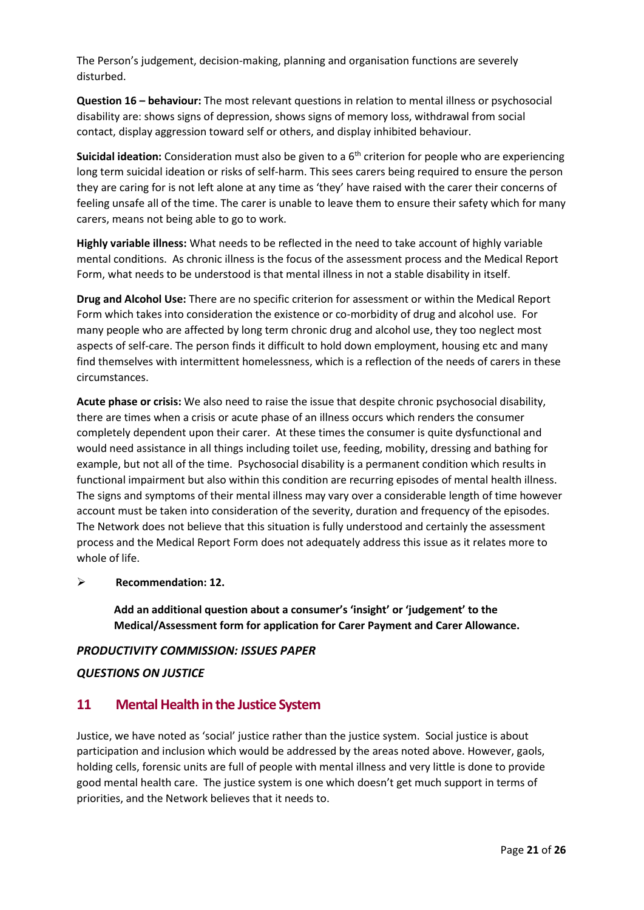The Person's judgement, decision-making, planning and organisation functions are severely disturbed.

**Question 16 – behaviour:** The most relevant questions in relation to mental illness or psychosocial disability are: shows signs of depression, shows signs of memory loss, withdrawal from social contact, display aggression toward self or others, and display inhibited behaviour.

Suicidal ideation: Consideration must also be given to a 6<sup>th</sup> criterion for people who are experiencing long term suicidal ideation or risks of self-harm. This sees carers being required to ensure the person they are caring for is not left alone at any time as 'they' have raised with the carer their concerns of feeling unsafe all of the time. The carer is unable to leave them to ensure their safety which for many carers, means not being able to go to work.

**Highly variable illness:** What needs to be reflected in the need to take account of highly variable mental conditions. As chronic illness is the focus of the assessment process and the Medical Report Form, what needs to be understood is that mental illness in not a stable disability in itself.

**Drug and Alcohol Use:** There are no specific criterion for assessment or within the Medical Report Form which takes into consideration the existence or co-morbidity of drug and alcohol use. For many people who are affected by long term chronic drug and alcohol use, they too neglect most aspects of self-care. The person finds it difficult to hold down employment, housing etc and many find themselves with intermittent homelessness, which is a reflection of the needs of carers in these circumstances.

**Acute phase or crisis:** We also need to raise the issue that despite chronic psychosocial disability, there are times when a crisis or acute phase of an illness occurs which renders the consumer completely dependent upon their carer. At these times the consumer is quite dysfunctional and would need assistance in all things including toilet use, feeding, mobility, dressing and bathing for example, but not all of the time. Psychosocial disability is a permanent condition which results in functional impairment but also within this condition are recurring episodes of mental health illness. The signs and symptoms of their mental illness may vary over a considerable length of time however account must be taken into consideration of the severity, duration and frequency of the episodes. The Network does not believe that this situation is fully understood and certainly the assessment process and the Medical Report Form does not adequately address this issue as it relates more to whole of life.

# ➢ **Recommendation: 12.**

**Add an additional question about a consumer's 'insight' or 'judgement' to the Medical/Assessment form for application for Carer Payment and Carer Allowance.**

# *PRODUCTIVITY COMMISSION: ISSUES PAPER*

# *QUESTIONS ON JUSTICE*

# **11 Mental Health in the Justice System**

Justice, we have noted as 'social' justice rather than the justice system. Social justice is about participation and inclusion which would be addressed by the areas noted above. However, gaols, holding cells, forensic units are full of people with mental illness and very little is done to provide good mental health care. The justice system is one which doesn't get much support in terms of priorities, and the Network believes that it needs to.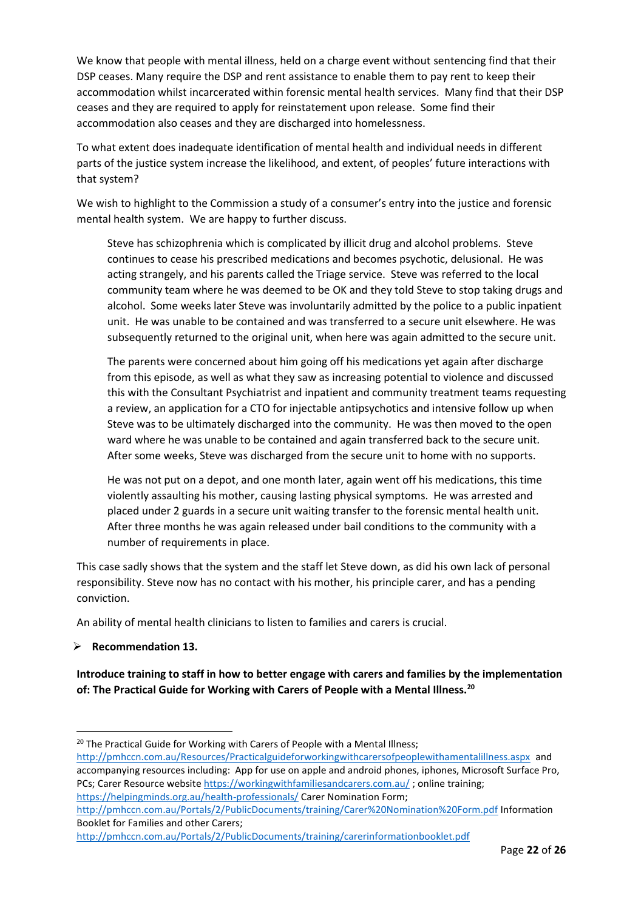We know that people with mental illness, held on a charge event without sentencing find that their DSP ceases. Many require the DSP and rent assistance to enable them to pay rent to keep their accommodation whilst incarcerated within forensic mental health services. Many find that their DSP ceases and they are required to apply for reinstatement upon release. Some find their accommodation also ceases and they are discharged into homelessness.

To what extent does inadequate identification of mental health and individual needs in different parts of the justice system increase the likelihood, and extent, of peoples' future interactions with that system?

We wish to highlight to the Commission a study of a consumer's entry into the justice and forensic mental health system. We are happy to further discuss.

Steve has schizophrenia which is complicated by illicit drug and alcohol problems. Steve continues to cease his prescribed medications and becomes psychotic, delusional. He was acting strangely, and his parents called the Triage service. Steve was referred to the local community team where he was deemed to be OK and they told Steve to stop taking drugs and alcohol. Some weeks later Steve was involuntarily admitted by the police to a public inpatient unit. He was unable to be contained and was transferred to a secure unit elsewhere. He was subsequently returned to the original unit, when here was again admitted to the secure unit.

The parents were concerned about him going off his medications yet again after discharge from this episode, as well as what they saw as increasing potential to violence and discussed this with the Consultant Psychiatrist and inpatient and community treatment teams requesting a review, an application for a CTO for injectable antipsychotics and intensive follow up when Steve was to be ultimately discharged into the community. He was then moved to the open ward where he was unable to be contained and again transferred back to the secure unit. After some weeks, Steve was discharged from the secure unit to home with no supports.

He was not put on a depot, and one month later, again went off his medications, this time violently assaulting his mother, causing lasting physical symptoms. He was arrested and placed under 2 guards in a secure unit waiting transfer to the forensic mental health unit. After three months he was again released under bail conditions to the community with a number of requirements in place.

This case sadly shows that the system and the staff let Steve down, as did his own lack of personal responsibility. Steve now has no contact with his mother, his principle carer, and has a pending conviction.

An ability of mental health clinicians to listen to families and carers is crucial.

# ➢ **Recommendation 13.**

 $\overline{\phantom{a}}$ 

**Introduce training to staff in how to better engage with carers and families by the implementation of: The Practical Guide for Working with Carers of People with a Mental Illness.<sup>20</sup>**

<http://pmhccn.com.au/Resources/Practicalguideforworkingwithcarersofpeoplewithamentalillness.aspx>and accompanying resources including: App for use on apple and android phones, iphones, Microsoft Surface Pro, PCs; Carer Resource websit[e https://workingwithfamiliesandcarers.com.au/](https://workingwithfamiliesandcarers.com.au/) ; online training; <https://helpingminds.org.au/health-professionals/> Carer Nomination Form;

<sup>&</sup>lt;sup>20</sup> The Practical Guide for Working with Carers of People with a Mental Illness;

<http://pmhccn.com.au/Portals/2/PublicDocuments/training/Carer%20Nomination%20Form.pdf> Information Booklet for Families and other Carers;

<http://pmhccn.com.au/Portals/2/PublicDocuments/training/carerinformationbooklet.pdf>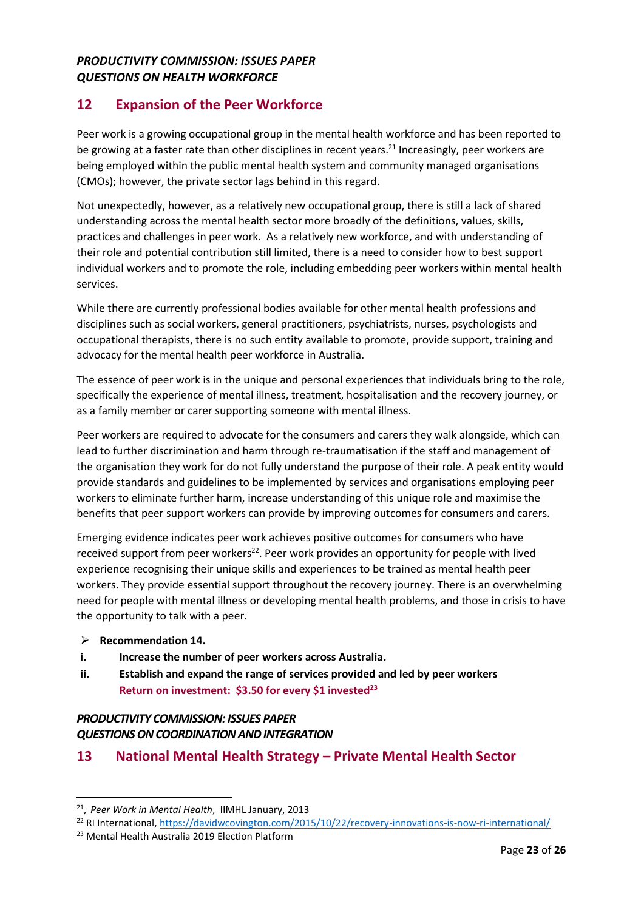# *PRODUCTIVITY COMMISSION: ISSUES PAPER QUESTIONS ON HEALTH WORKFORCE*

# **12 Expansion of the Peer Workforce**

Peer work is a growing occupational group in the mental health workforce and has been reported to be growing at a faster rate than other disciplines in recent years.<sup>21</sup> Increasingly, peer workers are being employed within the public mental health system and community managed organisations (CMOs); however, the private sector lags behind in this regard.

Not unexpectedly, however, as a relatively new occupational group, there is still a lack of shared understanding across the mental health sector more broadly of the definitions, values, skills, practices and challenges in peer work. As a relatively new workforce, and with understanding of their role and potential contribution still limited, there is a need to consider how to best support individual workers and to promote the role, including embedding peer workers within mental health services.

While there are currently professional bodies available for other mental health professions and disciplines such as social workers, general practitioners, psychiatrists, nurses, psychologists and occupational therapists, there is no such entity available to promote, provide support, training and advocacy for the mental health peer workforce in Australia.

The essence of peer work is in the unique and personal experiences that individuals bring to the role, specifically the experience of mental illness, treatment, hospitalisation and the recovery journey, or as a family member or carer supporting someone with mental illness.

Peer workers are required to advocate for the consumers and carers they walk alongside, which can lead to further discrimination and harm through re-traumatisation if the staff and management of the organisation they work for do not fully understand the purpose of their role. A peak entity would provide standards and guidelines to be implemented by services and organisations employing peer workers to eliminate further harm, increase understanding of this unique role and maximise the benefits that peer support workers can provide by improving outcomes for consumers and carers.

Emerging evidence indicates peer work achieves positive outcomes for consumers who have received support from peer workers<sup>22</sup>. Peer work provides an opportunity for people with lived experience recognising their unique skills and experiences to be trained as mental health peer workers. They provide essential support throughout the recovery journey. There is an overwhelming need for people with mental illness or developing mental health problems, and those in crisis to have the opportunity to talk with a peer.

➢ **Recommendation 14.**

 $\overline{\phantom{a}}$ 

- **i. Increase the number of peer workers across Australia.**
- **ii. Establish and expand the range of services provided and led by peer workers Return on investment: \$3.50 for every \$1 invested<sup>23</sup>**

# *PRODUCTIVITY COMMISSION: ISSUES PAPER QUESTIONS ON COORDINATION AND INTEGRATION*

**13 National Mental Health Strategy – Private Mental Health Sector**

<sup>21</sup> , *Peer Work in Mental Health*, IIMHL January, 2013

<sup>&</sup>lt;sup>22</sup> RI International[, https://davidwcovington.com/2015/10/22/recovery-innovations-is-now-ri-international/](https://davidwcovington.com/2015/10/22/recovery-innovations-is-now-ri-international/)

<sup>23</sup> Mental Health Australia 2019 Election Platform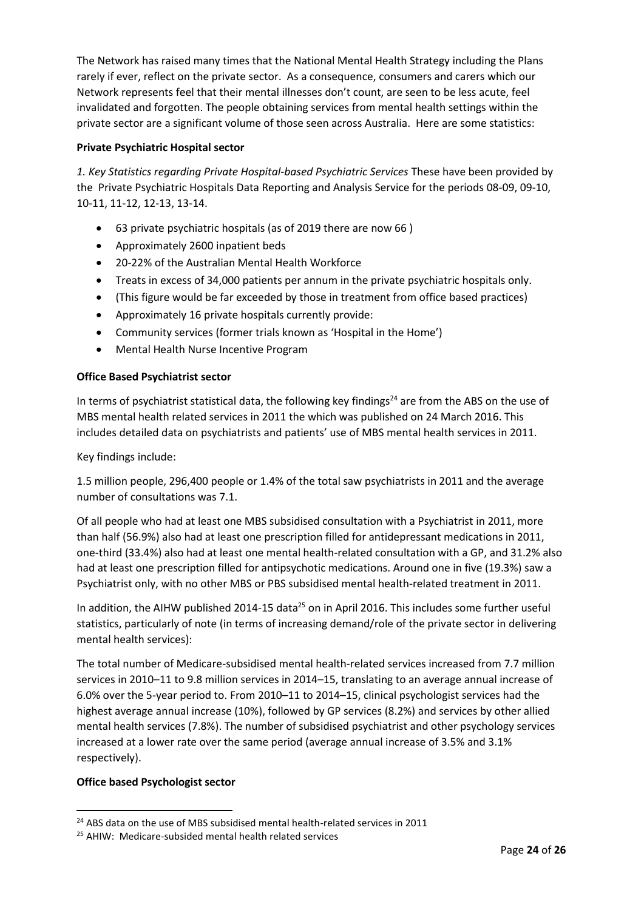The Network has raised many times that the National Mental Health Strategy including the Plans rarely if ever, reflect on the private sector. As a consequence, consumers and carers which our Network represents feel that their mental illnesses don't count, are seen to be less acute, feel invalidated and forgotten. The people obtaining services from mental health settings within the private sector are a significant volume of those seen across Australia. Here are some statistics:

# **Private Psychiatric Hospital sector**

*1. Key Statistics regarding Private Hospital‐based Psychiatric Services* These have been provided by the Private Psychiatric Hospitals Data Reporting and Analysis Service for the periods 08‐09, 09‐10, 10‐11, 11‐12, 12‐13, 13‐14.

- 63 private psychiatric hospitals (as of 2019 there are now 66 )
- Approximately 2600 inpatient beds
- 20-22% of the Australian Mental Health Workforce
- Treats in excess of 34,000 patients per annum in the private psychiatric hospitals only.
- (This figure would be far exceeded by those in treatment from office based practices)
- Approximately 16 private hospitals currently provide:
- Community services (former trials known as 'Hospital in the Home')
- Mental Health Nurse Incentive Program

# **Office Based Psychiatrist sector**

In terms of psychiatrist statistical data, the following key findings<sup>24</sup> are from the ABS on the use of MBS mental health related services in 2011 the which was published on 24 March 2016. This includes [detailed data on psychiatrists and patients' use of MBS men](http://www.abs.gov.au/ausstats/abs@.nsf/Lookup/by%20Subject/4329.0.00.003~2011~Main%20Features~Psychiatrists~10029)tal health services in 2011.

Key findings include:

1.5 million people, 296,400 people or 1.4% of the total saw psychiatrists in 2011 and the average number of consultations was 7.1.

Of all people who had at least one MBS subsidised consultation with a Psychiatrist in 2011, more than half (56.9%) also had at least one prescription filled for antidepressant medications in 2011, one-third (33.4%) also had at least one mental health-related consultation with a GP, and 31.2% also had at least one prescription filled for antipsychotic medications. Around one in five (19.3%) saw a Psychiatrist only, with no other MBS or PBS subsidised mental health-related treatment in 2011.

In addition, the AIHW published 2014-15 data<sup>25</sup> on in April 2016. This includes some further useful statistics, particularly of note (in terms of increasing demand/role of the private sector in delivering mental health services):

The total number of Medicare-subsidised mental health-related services increased from 7.7 million services in 2010–11 to 9.8 million services in 2014–15, translating to an average annual increase of 6.0% over the 5-year period to. From 2010–11 to 2014–15, clinical psychologist services had the highest average annual increase (10%), followed by GP services (8.2%) and services by other allied mental health services (7.8%). The number of subsidised psychiatrist and other psychology services increased at a lower rate over the same period (average annual increase of 3.5% and 3.1% respectively).

# **Office based Psychologist sector**

 $\overline{a}$ 

 $24$  [ABS data on the use of MBS subsidised mental health-related services in 2011](http://www.abs.gov.au/ausstats/abs@.nsf/Lookup/by%20Subject/4329.0.00.003~2011~Main%20Features~Introduction~1)

<sup>25</sup> AHIW: [Medicare-subsided mental health related services](http://mhsa.aihw.gov.au/services/medicare/)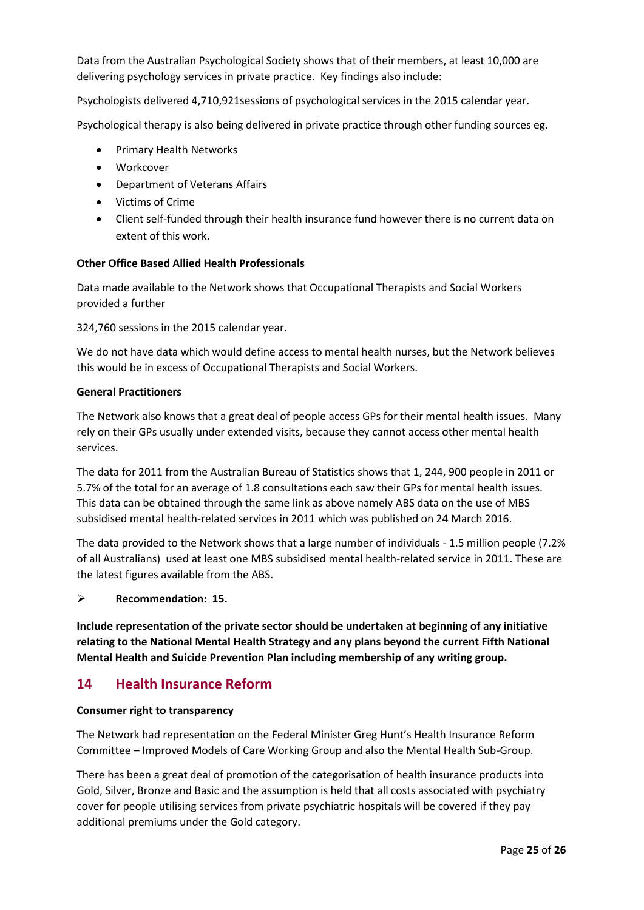Data from the Australian Psychological Society shows that of their members, at least 10,000 are delivering psychology services in private practice. Key findings also include:

Psychologists delivered 4,710,921sessions of psychological services in the 2015 calendar year.

Psychological therapy is also being delivered in private practice through other funding sources eg.

- Primary Health Networks
- Workcover
- Department of Veterans Affairs
- Victims of Crime
- Client self-funded through their health insurance fund however there is no current data on extent of this work.

#### **Other Office Based Allied Health Professionals**

Data made available to the Network shows that Occupational Therapists and Social Workers provided a further

324,760 sessions in the 2015 calendar year.

We do not have data which would define access to mental health nurses, but the Network believes this would be in excess of Occupational Therapists and Social Workers.

#### **General Practitioners**

The Network also knows that a great deal of people access GPs for their mental health issues. Many rely on their GPs usually under extended visits, because they cannot access other mental health services.

The data for 2011 from the Australian Bureau of Statistics shows that 1, 244, 900 people in 2011 or 5.7% of the total for an average of 1.8 consultations each saw their GPs for mental health issues. This data can be obtained through the same link as above namely [ABS data on the use of MBS](http://www.abs.gov.au/ausstats/abs@.nsf/Lookup/by%20Subject/4329.0.00.003~2011~Main%20Features~Introduction~1)  [subsidised mental health-related services in 2011](http://www.abs.gov.au/ausstats/abs@.nsf/Lookup/by%20Subject/4329.0.00.003~2011~Main%20Features~Introduction~1) which was published on 24 March 2016.

The data provided to the Network shows that a large number of individuals - 1.5 million people (7.2% of all Australians) used at least one MBS subsidised mental health-related service in 2011. These are the latest figures available from the ABS.

# ➢ **Recommendation: 15.**

**Include representation of the private sector should be undertaken at beginning of any initiative relating to the National Mental Health Strategy and any plans beyond the current Fifth National Mental Health and Suicide Prevention Plan including membership of any writing group.** 

# **14 Health Insurance Reform**

#### **Consumer right to transparency**

The Network had representation on the Federal Minister Greg Hunt's Health Insurance Reform Committee – Improved Models of Care Working Group and also the Mental Health Sub-Group.

There has been a great deal of promotion of the categorisation of health insurance products into Gold, Silver, Bronze and Basic and the assumption is held that all costs associated with psychiatry cover for people utilising services from private psychiatric hospitals will be covered if they pay additional premiums under the Gold category.